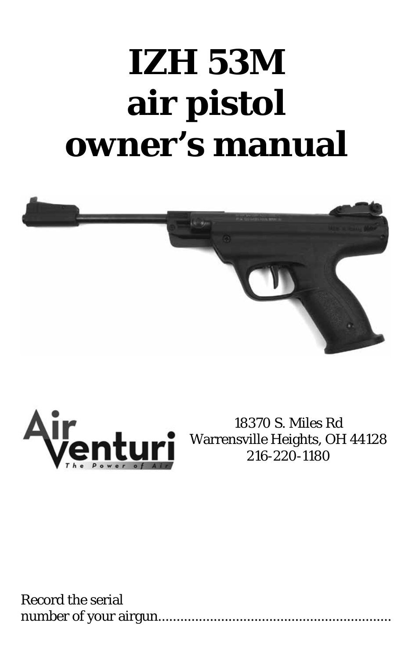# **IZH 53M air pistol owner's manual**





18370 S. Miles Rd Warrensville Heights, OH 44128 216-220-1180

Record the serial number of your airgun...............................................................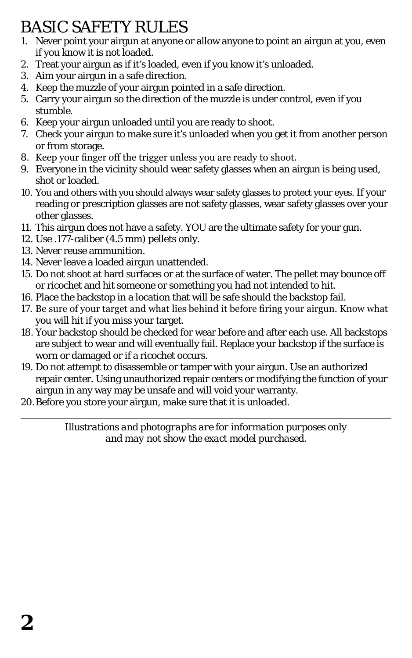# BASIC SAFETY RULES

- 1. Never point your airgun at anyone or allow anyone to point an airgun at you, even if you know it is not loaded.
- 2. Treat your airgun as if it's loaded, even if you know it's unloaded.
- 3. Aim your airgun in a safe direction.
- 4. Keep the muzzle of your airgun pointed in a safe direction.
- 5. Carry your airgun so the direction of the muzzle is under control, even if you stumble.
- 6. Keep your airgun unloaded until you are ready to shoot.
- 7. Check your airgun to make sure it's unloaded when you get it from another person or from storage.
- 8. Keep your finger off the trigger unless you are ready to shoot.
- 9. Everyone in the vicinity should wear safety glasses when an airgun is being used, shot or loaded.
- 10. You and others with you should always wear safety glasses to protect your eyes. If your reading or prescription glasses are not safety glasses, wear safety glasses over your other glasses.
- 11. This airgun does not have a safety. YOU are the ultimate safety for your gun.
- 12. Use .177-caliber (4.5 mm) pellets only.
- 13. Never reuse ammunition.
- 14. Never leave a loaded airgun unattended.
- 15. Do not shoot at hard surfaces or at the surface of water. The pellet may bounce off or ricochet and hit someone or something you had not intended to hit.
- 16. Place the backstop in a location that will be safe should the backstop fail.
- 17. Be sure of your target and what lies behind it before firing your airgun. Know what you will hit if you miss your target.
- 18. Your backstop should be checked for wear before and after each use. All backstops are subject to wear and will eventually fail. Replace your backstop if the surface is worn or damaged or if a ricochet occurs.
- 19. Do not attempt to disassemble or tamper with your airgun. Use an authorized repair center. Using unauthorized repair centers or modifying the function of your airgun in any way may be unsafe and will void your warranty.
- 20.Before you store your airgun, make sure that it is unloaded.

*Illustrations and photographs are for information purposes only and may not show the exact model purchased.*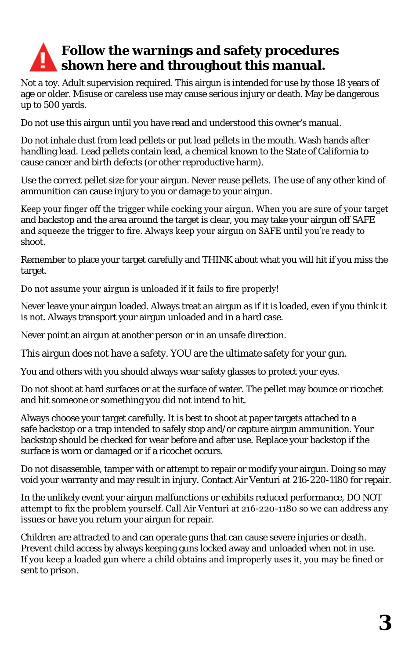# **Follow the warnings and safety procedures shown here and throughout this manual.**

Not a toy. Adult supervision required. This airgun is intended for use by those 18 years of age or older. Misuse or careless use may cause serious injury or death. May be dangerous up to 500 yards.

Do not use this airgun until you have read and understood this owner's manual.

Do not inhale dust from lead pellets or put lead pellets in the mouth. Wash hands after handling lead. Lead pellets contain lead, a chemical known to the State of California to cause cancer and birth defects (or other reproductive harm).

Use the correct pellet size for your airgun. Never reuse pellets. The use of any other kind of ammunition can cause injury to you or damage to your airgun.

Keep your finger off the trigger while cocking your airgun. When you are sure of your target and backstop and the area around the target is clear, you may take your airgun off SAFE and squeeze the trigger to fire. Always keep your airgun on SAFE until you're ready to shoot.

Remember to place your target carefully and THINK about what you will hit if you miss the target.

Do not assume your airgun is unloaded if it fails to fire properly!

Never leave your airgun loaded. Always treat an airgun as if it is loaded, even if you think it is not. Always transport your airgun unloaded and in a hard case.

Never point an airgun at another person or in an unsafe direction.

This airgun does not have a safety. YOU are the ultimate safety for your gun.

You and others with you should always wear safety glasses to protect your eyes.

Do not shoot at hard surfaces or at the surface of water. The pellet may bounce or ricochet and hit someone or something you did not intend to hit.

Always choose your target carefully. It is best to shoot at paper targets attached to a safe backstop or a trap intended to safely stop and/or capture airgun ammunition. Your backstop should be checked for wear before and after use. Replace your backstop if the surface is worn or damaged or if a ricochet occurs.

Do not disassemble, tamper with or attempt to repair or modify your airgun. Doing so may void your warranty and may result in injury. Contact Air Venturi at 216-220-1180 for repair.

In the unlikely event your airgun malfunctions or exhibits reduced performance, DO NOT attempt to fix the problem yourself. Call Air Venturi at 216-220-1180 so we can address any issues or have you return your airgun for repair.

Children are attracted to and can operate guns that can cause severe injuries or death. Prevent child access by always keeping guns locked away and unloaded when not in use. If you keep a loaded gun where a child obtains and improperly uses it, you may be fined or sent to prison.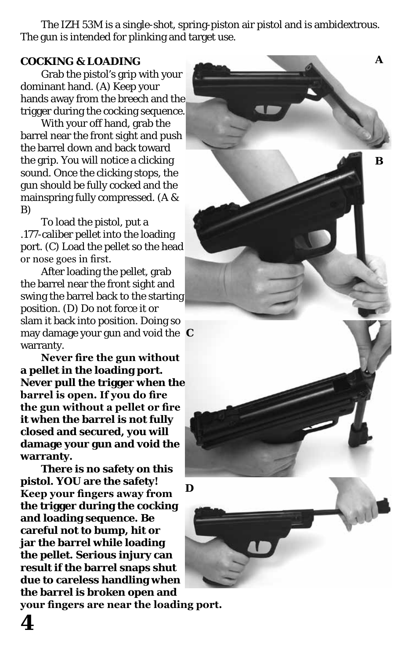The IZH 53M is a single-shot, spring-piston air pistol and is ambidextrous. The gun is intended for plinking and target use.

#### **COCKING & LOADING**

Grab the pistol's grip with your dominant hand. (A) Keep your hands away from the breech and the trigger during the cocking sequence.

With your off hand, grab the barrel near the front sight and push the barrel down and back toward the grip. You will notice a clicking sound. Once the clicking stops, the gun should be fully cocked and the mainspring fully compressed. (A & B)

To load the pistol, put a .177-caliber pellet into the loading port. (C) Load the pellet so the head or nose goes in first.

After loading the pellet, grab the barrel near the front sight and swing the barrel back to the starting position. (D) Do not force it or slam it back into position. Doing so may damage your gun and void the **C** warranty.

**Never fire the gun without a pellet in the loading port. Never pull the trigger when the barrel is open. If you do fire the gun without a pellet or fire it when the barrel is not fully closed and secured, you will damage your gun and void the warranty.**

**There is no safety on this pistol. YOU are the safety! Keep your fingers away from the trigger during the cocking and loading sequence. Be careful not to bump, hit or jar the barrel while loading the pellet. Serious injury can result if the barrel snaps shut due to careless handling when the barrel is broken open and** 

**B D**

**A**

**your fingers are near the loading port.**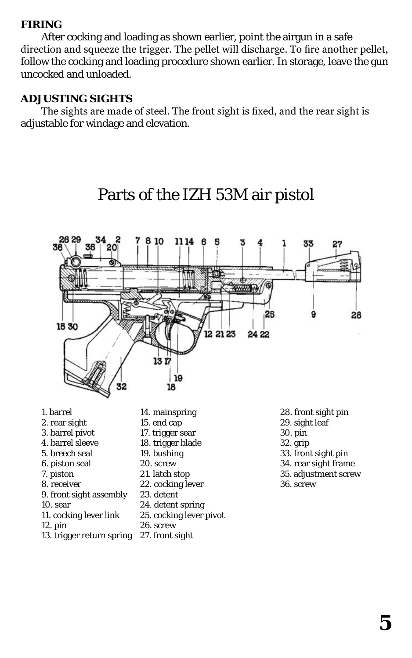#### **FIRING**

After cocking and loading as shown earlier, point the airgun in a safe direction and squeeze the trigger. The pellet will discharge. To fire another pellet, follow the cocking and loading procedure shown earlier. In storage, leave the gun uncocked and unloaded.

#### **ADJUSTING SIGHTS**

The sights are made of steel. The front sight is fixed, and the rear sight is adjustable for windage and elevation.



# Parts of the IZH 53M air pistol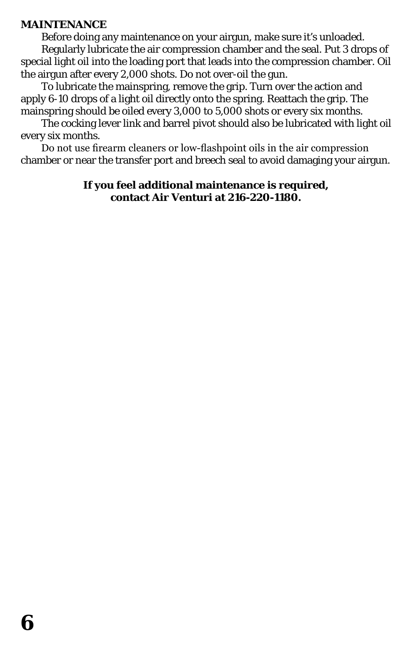#### **MAINTENANCE**

Before doing any maintenance on your airgun, make sure it's unloaded. Regularly lubricate the air compression chamber and the seal. Put 3 drops of special light oil into the loading port that leads into the compression chamber. Oil the airgun after every 2,000 shots. Do not over-oil the gun.

To lubricate the mainspring, remove the grip. Turn over the action and apply 6-10 drops of a light oil directly onto the spring. Reattach the grip. The mainspring should be oiled every 3,000 to 5,000 shots or every six months.

The cocking lever link and barrel pivot should also be lubricated with light oil every six months.

Do not use firearm cleaners or low-flashpoint oils in the air compression chamber or near the transfer port and breech seal to avoid damaging your airgun.

### **If you feel additional maintenance is required, contact Air Venturi at 216-220-1180.**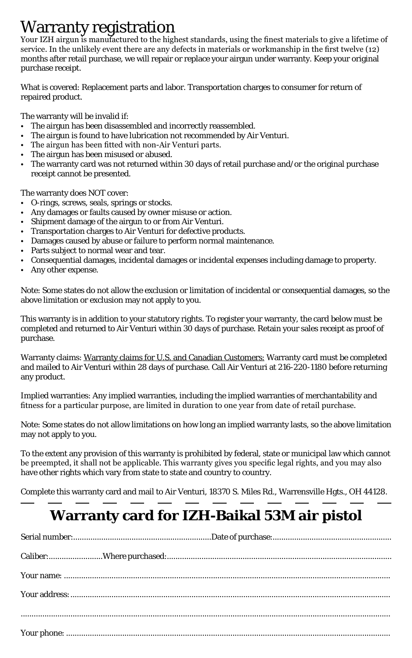**Warranty registration**<br>Your IZH airgun is manufactured to the highest standards, using the finest materials to give a lifetime of service. In the unlikely event there are any defects in materials or workmanship in the first twelve (12) months after retail purchase, we will repair or replace your airgun under warranty. Keep your original purchase receipt.

What is covered: Replacement parts and labor. Transportation charges to consumer for return of repaired product.

The warranty will be invalid if:

- The airgun has been disassembled and incorrectly reassembled.
- The airgun is found to have lubrication not recommended by Air Venturi.
- The airgun has been fitted with non-Air Venturi parts.
- The airgun has been misused or abused.
- The warranty card was not returned within 30 days of retail purchase and/or the original purchase receipt cannot be presented.

The warranty does NOT cover:

- O-rings, screws, seals, springs or stocks.
- Any damages or faults caused by owner misuse or action.
- Shipment damage of the airgun to or from Air Venturi.
- Transportation charges to Air Venturi for defective products.
- Damages caused by abuse or failure to perform normal maintenance.
- Parts subject to normal wear and tear.
- Consequential damages, incidental damages or incidental expenses including damage to property.
- Any other expense.

Note: Some states do not allow the exclusion or limitation of incidental or consequential damages, so the above limitation or exclusion may not apply to you.

This warranty is in addition to your statutory rights. To register your warranty, the card below must be completed and returned to Air Venturi within 30 days of purchase. Retain your sales receipt as proof of purchase.

Warranty claims: Warranty claims for U.S. and Canadian Customers: Warranty card must be completed and mailed to Air Venturi within 28 days of purchase. Call Air Venturi at 216-220-1180 before returning any product.

Implied warranties: Any implied warranties, including the implied warranties of merchantability and fitness for a particular purpose, are limited in duration to one year from date of retail purchase.

Note: Some states do not allow limitations on how long an implied warranty lasts, so the above limitation may not apply to you.

To the extent any provision of this warranty is prohibited by federal, state or municipal law which cannot be preempted, it shall not be applicable. This warranty gives you specific legal rights, and you may also have other rights which vary from state to state and country to country.

Complete this warranty card and mail to Air Venturi, 18370 S. Miles Rd., Warrensville Hgts., OH 44128.

# **Warranty card for IZH-Baikal 53M air pistol**